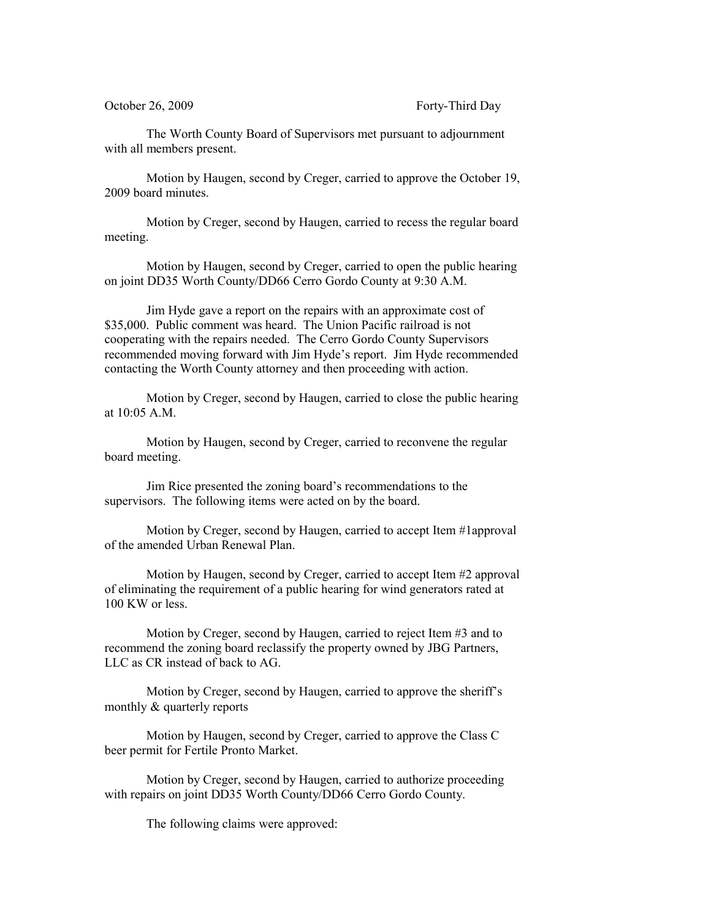The Worth County Board of Supervisors met pursuant to adjournment with all members present.

Motion by Haugen, second by Creger, carried to approve the October 19, 2009 board minutes.

Motion by Creger, second by Haugen, carried to recess the regular board meeting.

Motion by Haugen, second by Creger, carried to open the public hearing on joint DD35 Worth County/DD66 Cerro Gordo County at 9:30 A.M.

Jim Hyde gave a report on the repairs with an approximate cost of \$35,000. Public comment was heard. The Union Pacific railroad is not cooperating with the repairs needed. The Cerro Gordo County Supervisors recommended moving forward with Jim Hyde's report. Jim Hyde recommended contacting the Worth County attorney and then proceeding with action.

Motion by Creger, second by Haugen, carried to close the public hearing at 10:05 A.M.

Motion by Haugen, second by Creger, carried to reconvene the regular board meeting.

Jim Rice presented the zoning board's recommendations to the supervisors. The following items were acted on by the board.

Motion by Creger, second by Haugen, carried to accept Item #1approval of the amended Urban Renewal Plan.

Motion by Haugen, second by Creger, carried to accept Item #2 approval of eliminating the requirement of a public hearing for wind generators rated at 100 KW or less.

Motion by Creger, second by Haugen, carried to reject Item #3 and to recommend the zoning board reclassify the property owned by JBG Partners, LLC as CR instead of back to AG.

Motion by Creger, second by Haugen, carried to approve the sheriff's monthly & quarterly reports

Motion by Haugen, second by Creger, carried to approve the Class C beer permit for Fertile Pronto Market.

Motion by Creger, second by Haugen, carried to authorize proceeding with repairs on joint DD35 Worth County/DD66 Cerro Gordo County.

The following claims were approved: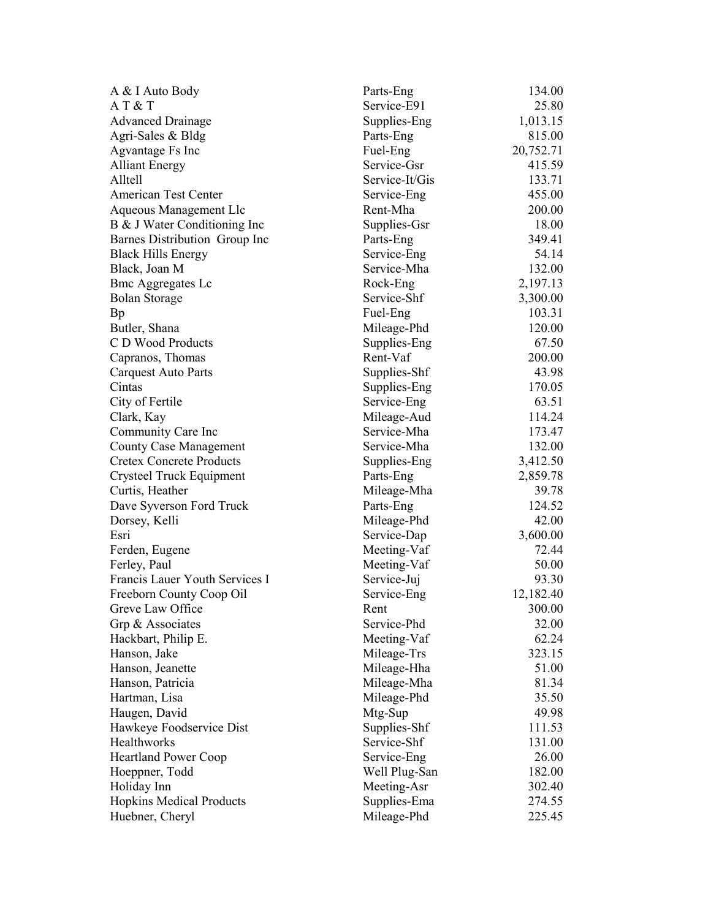| A & I Auto Body<br>Service-E91<br>AT & T<br>25.80<br><b>Advanced Drainage</b><br>Supplies-Eng<br>1,013.15<br>815.00<br>Agri-Sales & Bldg<br>Parts-Eng<br>Agvantage Fs Inc<br>Fuel-Eng<br>20,752.71<br>Service-Gsr<br>415.59<br><b>Alliant Energy</b><br>Alltell<br>Service-It/Gis<br>133.71<br>American Test Center<br>455.00<br>Service-Eng<br>Rent-Mha<br>200.00<br>Aqueous Management Llc<br>Supplies-Gsr<br>18.00<br>B & J Water Conditioning Inc<br>Barnes Distribution Group Inc<br>Parts-Eng<br>349.41<br>54.14<br><b>Black Hills Energy</b><br>Service-Eng<br>Service-Mha<br>132.00<br>Black, Joan M<br>2,197.13<br><b>Bmc Aggregates Lc</b><br>Rock-Eng<br>Service-Shf<br>3,300.00<br><b>Bolan Storage</b><br>103.31<br>Fuel-Eng<br><b>Bp</b><br>Mileage-Phd<br>120.00<br>Butler, Shana<br>C D Wood Products<br>67.50<br>Supplies-Eng<br>Rent-Vaf<br>Capranos, Thomas<br>200.00<br><b>Carquest Auto Parts</b><br>Supplies-Shf<br>43.98<br>Supplies-Eng<br>170.05<br>Cintas<br>City of Fertile<br>Service-Eng<br>63.51<br>114.24<br>Clark, Kay<br>Mileage-Aud<br>Service-Mha<br>173.47<br>Community Care Inc<br>Service-Mha<br>132.00<br><b>County Case Management</b><br><b>Cretex Concrete Products</b><br>3,412.50<br>Supplies-Eng<br>Crysteel Truck Equipment<br>Parts-Eng<br>2,859.78<br>Curtis, Heather<br>Mileage-Mha<br>39.78<br>124.52<br>Dave Syverson Ford Truck<br>Parts-Eng<br>42.00<br>Dorsey, Kelli<br>Mileage-Phd<br>Service-Dap<br>3,600.00<br>Esri<br>72.44<br>Meeting-Vaf<br>Ferden, Eugene<br>Meeting-Vaf<br>50.00<br>Ferley, Paul<br>Service-Juj<br>93.30<br>Francis Lauer Youth Services I<br>Freeborn County Coop Oil<br>Service-Eng<br>12,182.40<br>Greve Law Office<br>Rent<br>300.00<br>Service-Phd<br>32.00<br>Grp & Associates<br>Hackbart, Philip E.<br>Meeting-Vaf<br>62.24 |
|-------------------------------------------------------------------------------------------------------------------------------------------------------------------------------------------------------------------------------------------------------------------------------------------------------------------------------------------------------------------------------------------------------------------------------------------------------------------------------------------------------------------------------------------------------------------------------------------------------------------------------------------------------------------------------------------------------------------------------------------------------------------------------------------------------------------------------------------------------------------------------------------------------------------------------------------------------------------------------------------------------------------------------------------------------------------------------------------------------------------------------------------------------------------------------------------------------------------------------------------------------------------------------------------------------------------------------------------------------------------------------------------------------------------------------------------------------------------------------------------------------------------------------------------------------------------------------------------------------------------------------------------------------------------------------------------------------------------------------------------------------------------------------------------------------------------|
|                                                                                                                                                                                                                                                                                                                                                                                                                                                                                                                                                                                                                                                                                                                                                                                                                                                                                                                                                                                                                                                                                                                                                                                                                                                                                                                                                                                                                                                                                                                                                                                                                                                                                                                                                                                                                   |
|                                                                                                                                                                                                                                                                                                                                                                                                                                                                                                                                                                                                                                                                                                                                                                                                                                                                                                                                                                                                                                                                                                                                                                                                                                                                                                                                                                                                                                                                                                                                                                                                                                                                                                                                                                                                                   |
|                                                                                                                                                                                                                                                                                                                                                                                                                                                                                                                                                                                                                                                                                                                                                                                                                                                                                                                                                                                                                                                                                                                                                                                                                                                                                                                                                                                                                                                                                                                                                                                                                                                                                                                                                                                                                   |
|                                                                                                                                                                                                                                                                                                                                                                                                                                                                                                                                                                                                                                                                                                                                                                                                                                                                                                                                                                                                                                                                                                                                                                                                                                                                                                                                                                                                                                                                                                                                                                                                                                                                                                                                                                                                                   |
|                                                                                                                                                                                                                                                                                                                                                                                                                                                                                                                                                                                                                                                                                                                                                                                                                                                                                                                                                                                                                                                                                                                                                                                                                                                                                                                                                                                                                                                                                                                                                                                                                                                                                                                                                                                                                   |
|                                                                                                                                                                                                                                                                                                                                                                                                                                                                                                                                                                                                                                                                                                                                                                                                                                                                                                                                                                                                                                                                                                                                                                                                                                                                                                                                                                                                                                                                                                                                                                                                                                                                                                                                                                                                                   |
|                                                                                                                                                                                                                                                                                                                                                                                                                                                                                                                                                                                                                                                                                                                                                                                                                                                                                                                                                                                                                                                                                                                                                                                                                                                                                                                                                                                                                                                                                                                                                                                                                                                                                                                                                                                                                   |
|                                                                                                                                                                                                                                                                                                                                                                                                                                                                                                                                                                                                                                                                                                                                                                                                                                                                                                                                                                                                                                                                                                                                                                                                                                                                                                                                                                                                                                                                                                                                                                                                                                                                                                                                                                                                                   |
|                                                                                                                                                                                                                                                                                                                                                                                                                                                                                                                                                                                                                                                                                                                                                                                                                                                                                                                                                                                                                                                                                                                                                                                                                                                                                                                                                                                                                                                                                                                                                                                                                                                                                                                                                                                                                   |
|                                                                                                                                                                                                                                                                                                                                                                                                                                                                                                                                                                                                                                                                                                                                                                                                                                                                                                                                                                                                                                                                                                                                                                                                                                                                                                                                                                                                                                                                                                                                                                                                                                                                                                                                                                                                                   |
|                                                                                                                                                                                                                                                                                                                                                                                                                                                                                                                                                                                                                                                                                                                                                                                                                                                                                                                                                                                                                                                                                                                                                                                                                                                                                                                                                                                                                                                                                                                                                                                                                                                                                                                                                                                                                   |
|                                                                                                                                                                                                                                                                                                                                                                                                                                                                                                                                                                                                                                                                                                                                                                                                                                                                                                                                                                                                                                                                                                                                                                                                                                                                                                                                                                                                                                                                                                                                                                                                                                                                                                                                                                                                                   |
|                                                                                                                                                                                                                                                                                                                                                                                                                                                                                                                                                                                                                                                                                                                                                                                                                                                                                                                                                                                                                                                                                                                                                                                                                                                                                                                                                                                                                                                                                                                                                                                                                                                                                                                                                                                                                   |
|                                                                                                                                                                                                                                                                                                                                                                                                                                                                                                                                                                                                                                                                                                                                                                                                                                                                                                                                                                                                                                                                                                                                                                                                                                                                                                                                                                                                                                                                                                                                                                                                                                                                                                                                                                                                                   |
|                                                                                                                                                                                                                                                                                                                                                                                                                                                                                                                                                                                                                                                                                                                                                                                                                                                                                                                                                                                                                                                                                                                                                                                                                                                                                                                                                                                                                                                                                                                                                                                                                                                                                                                                                                                                                   |
|                                                                                                                                                                                                                                                                                                                                                                                                                                                                                                                                                                                                                                                                                                                                                                                                                                                                                                                                                                                                                                                                                                                                                                                                                                                                                                                                                                                                                                                                                                                                                                                                                                                                                                                                                                                                                   |
|                                                                                                                                                                                                                                                                                                                                                                                                                                                                                                                                                                                                                                                                                                                                                                                                                                                                                                                                                                                                                                                                                                                                                                                                                                                                                                                                                                                                                                                                                                                                                                                                                                                                                                                                                                                                                   |
|                                                                                                                                                                                                                                                                                                                                                                                                                                                                                                                                                                                                                                                                                                                                                                                                                                                                                                                                                                                                                                                                                                                                                                                                                                                                                                                                                                                                                                                                                                                                                                                                                                                                                                                                                                                                                   |
|                                                                                                                                                                                                                                                                                                                                                                                                                                                                                                                                                                                                                                                                                                                                                                                                                                                                                                                                                                                                                                                                                                                                                                                                                                                                                                                                                                                                                                                                                                                                                                                                                                                                                                                                                                                                                   |
|                                                                                                                                                                                                                                                                                                                                                                                                                                                                                                                                                                                                                                                                                                                                                                                                                                                                                                                                                                                                                                                                                                                                                                                                                                                                                                                                                                                                                                                                                                                                                                                                                                                                                                                                                                                                                   |
|                                                                                                                                                                                                                                                                                                                                                                                                                                                                                                                                                                                                                                                                                                                                                                                                                                                                                                                                                                                                                                                                                                                                                                                                                                                                                                                                                                                                                                                                                                                                                                                                                                                                                                                                                                                                                   |
|                                                                                                                                                                                                                                                                                                                                                                                                                                                                                                                                                                                                                                                                                                                                                                                                                                                                                                                                                                                                                                                                                                                                                                                                                                                                                                                                                                                                                                                                                                                                                                                                                                                                                                                                                                                                                   |
|                                                                                                                                                                                                                                                                                                                                                                                                                                                                                                                                                                                                                                                                                                                                                                                                                                                                                                                                                                                                                                                                                                                                                                                                                                                                                                                                                                                                                                                                                                                                                                                                                                                                                                                                                                                                                   |
|                                                                                                                                                                                                                                                                                                                                                                                                                                                                                                                                                                                                                                                                                                                                                                                                                                                                                                                                                                                                                                                                                                                                                                                                                                                                                                                                                                                                                                                                                                                                                                                                                                                                                                                                                                                                                   |
|                                                                                                                                                                                                                                                                                                                                                                                                                                                                                                                                                                                                                                                                                                                                                                                                                                                                                                                                                                                                                                                                                                                                                                                                                                                                                                                                                                                                                                                                                                                                                                                                                                                                                                                                                                                                                   |
|                                                                                                                                                                                                                                                                                                                                                                                                                                                                                                                                                                                                                                                                                                                                                                                                                                                                                                                                                                                                                                                                                                                                                                                                                                                                                                                                                                                                                                                                                                                                                                                                                                                                                                                                                                                                                   |
|                                                                                                                                                                                                                                                                                                                                                                                                                                                                                                                                                                                                                                                                                                                                                                                                                                                                                                                                                                                                                                                                                                                                                                                                                                                                                                                                                                                                                                                                                                                                                                                                                                                                                                                                                                                                                   |
|                                                                                                                                                                                                                                                                                                                                                                                                                                                                                                                                                                                                                                                                                                                                                                                                                                                                                                                                                                                                                                                                                                                                                                                                                                                                                                                                                                                                                                                                                                                                                                                                                                                                                                                                                                                                                   |
|                                                                                                                                                                                                                                                                                                                                                                                                                                                                                                                                                                                                                                                                                                                                                                                                                                                                                                                                                                                                                                                                                                                                                                                                                                                                                                                                                                                                                                                                                                                                                                                                                                                                                                                                                                                                                   |
|                                                                                                                                                                                                                                                                                                                                                                                                                                                                                                                                                                                                                                                                                                                                                                                                                                                                                                                                                                                                                                                                                                                                                                                                                                                                                                                                                                                                                                                                                                                                                                                                                                                                                                                                                                                                                   |
|                                                                                                                                                                                                                                                                                                                                                                                                                                                                                                                                                                                                                                                                                                                                                                                                                                                                                                                                                                                                                                                                                                                                                                                                                                                                                                                                                                                                                                                                                                                                                                                                                                                                                                                                                                                                                   |
|                                                                                                                                                                                                                                                                                                                                                                                                                                                                                                                                                                                                                                                                                                                                                                                                                                                                                                                                                                                                                                                                                                                                                                                                                                                                                                                                                                                                                                                                                                                                                                                                                                                                                                                                                                                                                   |
|                                                                                                                                                                                                                                                                                                                                                                                                                                                                                                                                                                                                                                                                                                                                                                                                                                                                                                                                                                                                                                                                                                                                                                                                                                                                                                                                                                                                                                                                                                                                                                                                                                                                                                                                                                                                                   |
|                                                                                                                                                                                                                                                                                                                                                                                                                                                                                                                                                                                                                                                                                                                                                                                                                                                                                                                                                                                                                                                                                                                                                                                                                                                                                                                                                                                                                                                                                                                                                                                                                                                                                                                                                                                                                   |
|                                                                                                                                                                                                                                                                                                                                                                                                                                                                                                                                                                                                                                                                                                                                                                                                                                                                                                                                                                                                                                                                                                                                                                                                                                                                                                                                                                                                                                                                                                                                                                                                                                                                                                                                                                                                                   |
|                                                                                                                                                                                                                                                                                                                                                                                                                                                                                                                                                                                                                                                                                                                                                                                                                                                                                                                                                                                                                                                                                                                                                                                                                                                                                                                                                                                                                                                                                                                                                                                                                                                                                                                                                                                                                   |
|                                                                                                                                                                                                                                                                                                                                                                                                                                                                                                                                                                                                                                                                                                                                                                                                                                                                                                                                                                                                                                                                                                                                                                                                                                                                                                                                                                                                                                                                                                                                                                                                                                                                                                                                                                                                                   |
| Hanson, Jake<br>Mileage-Trs<br>323.15                                                                                                                                                                                                                                                                                                                                                                                                                                                                                                                                                                                                                                                                                                                                                                                                                                                                                                                                                                                                                                                                                                                                                                                                                                                                                                                                                                                                                                                                                                                                                                                                                                                                                                                                                                             |
| Hanson, Jeanette<br>Mileage-Hha<br>51.00                                                                                                                                                                                                                                                                                                                                                                                                                                                                                                                                                                                                                                                                                                                                                                                                                                                                                                                                                                                                                                                                                                                                                                                                                                                                                                                                                                                                                                                                                                                                                                                                                                                                                                                                                                          |
| Mileage-Mha<br>Hanson, Patricia<br>81.34                                                                                                                                                                                                                                                                                                                                                                                                                                                                                                                                                                                                                                                                                                                                                                                                                                                                                                                                                                                                                                                                                                                                                                                                                                                                                                                                                                                                                                                                                                                                                                                                                                                                                                                                                                          |
| Hartman, Lisa<br>Mileage-Phd<br>35.50                                                                                                                                                                                                                                                                                                                                                                                                                                                                                                                                                                                                                                                                                                                                                                                                                                                                                                                                                                                                                                                                                                                                                                                                                                                                                                                                                                                                                                                                                                                                                                                                                                                                                                                                                                             |
| Haugen, David<br>Mtg-Sup<br>49.98                                                                                                                                                                                                                                                                                                                                                                                                                                                                                                                                                                                                                                                                                                                                                                                                                                                                                                                                                                                                                                                                                                                                                                                                                                                                                                                                                                                                                                                                                                                                                                                                                                                                                                                                                                                 |
| Hawkeye Foodservice Dist<br>Supplies-Shf<br>111.53                                                                                                                                                                                                                                                                                                                                                                                                                                                                                                                                                                                                                                                                                                                                                                                                                                                                                                                                                                                                                                                                                                                                                                                                                                                                                                                                                                                                                                                                                                                                                                                                                                                                                                                                                                |
| Healthworks<br>Service-Shf<br>131.00                                                                                                                                                                                                                                                                                                                                                                                                                                                                                                                                                                                                                                                                                                                                                                                                                                                                                                                                                                                                                                                                                                                                                                                                                                                                                                                                                                                                                                                                                                                                                                                                                                                                                                                                                                              |
| Heartland Power Coop<br>Service-Eng<br>26.00                                                                                                                                                                                                                                                                                                                                                                                                                                                                                                                                                                                                                                                                                                                                                                                                                                                                                                                                                                                                                                                                                                                                                                                                                                                                                                                                                                                                                                                                                                                                                                                                                                                                                                                                                                      |
| Well Plug-San<br>182.00<br>Hoeppner, Todd                                                                                                                                                                                                                                                                                                                                                                                                                                                                                                                                                                                                                                                                                                                                                                                                                                                                                                                                                                                                                                                                                                                                                                                                                                                                                                                                                                                                                                                                                                                                                                                                                                                                                                                                                                         |
| Holiday Inn<br>302.40<br>Meeting-Asr                                                                                                                                                                                                                                                                                                                                                                                                                                                                                                                                                                                                                                                                                                                                                                                                                                                                                                                                                                                                                                                                                                                                                                                                                                                                                                                                                                                                                                                                                                                                                                                                                                                                                                                                                                              |
| Supplies-Ema<br><b>Hopkins Medical Products</b><br>274.55                                                                                                                                                                                                                                                                                                                                                                                                                                                                                                                                                                                                                                                                                                                                                                                                                                                                                                                                                                                                                                                                                                                                                                                                                                                                                                                                                                                                                                                                                                                                                                                                                                                                                                                                                         |
| Huebner, Cheryl<br>Mileage-Phd<br>225.45                                                                                                                                                                                                                                                                                                                                                                                                                                                                                                                                                                                                                                                                                                                                                                                                                                                                                                                                                                                                                                                                                                                                                                                                                                                                                                                                                                                                                                                                                                                                                                                                                                                                                                                                                                          |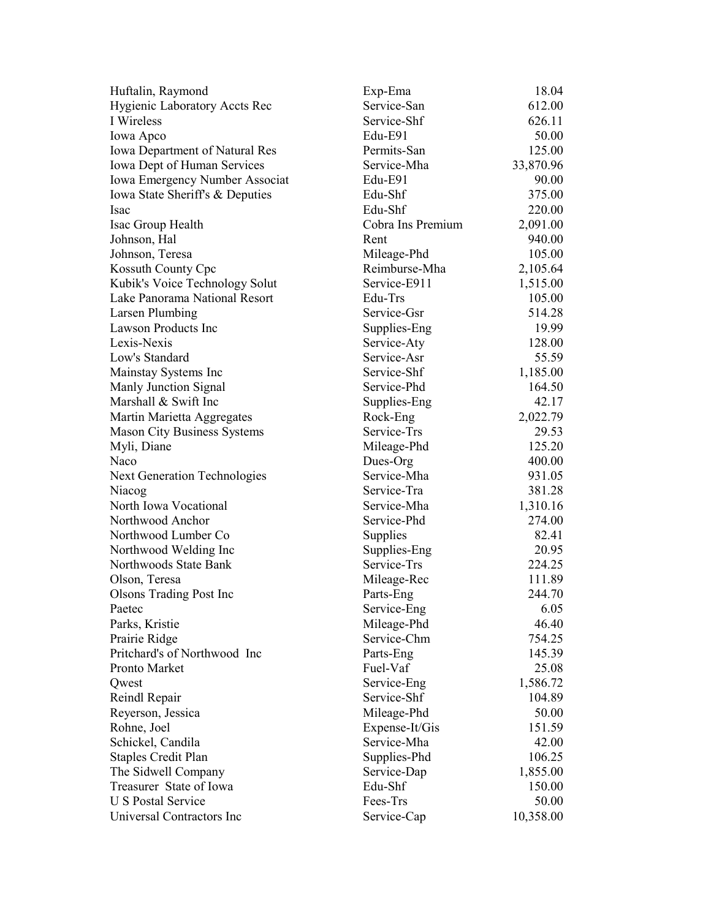| Huftalin, Raymond                     | Exp-Ema           | 18.04     |
|---------------------------------------|-------------------|-----------|
| <b>Hygienic Laboratory Accts Rec</b>  | Service-San       | 612.00    |
| I Wireless                            | Service-Shf       | 626.11    |
| Iowa Apco                             | Edu-E91           | 50.00     |
| <b>Iowa Department of Natural Res</b> | Permits-San       | 125.00    |
| Iowa Dept of Human Services           | Service-Mha       | 33,870.96 |
| Iowa Emergency Number Associat        | Edu-E91           | 90.00     |
| Iowa State Sheriff's & Deputies       | Edu-Shf           | 375.00    |
| Isac                                  | Edu-Shf           | 220.00    |
| Isac Group Health                     | Cobra Ins Premium | 2,091.00  |
| Johnson, Hal                          | Rent              | 940.00    |
| Johnson, Teresa                       | Mileage-Phd       | 105.00    |
| Kossuth County Cpc                    | Reimburse-Mha     | 2,105.64  |
| Kubik's Voice Technology Solut        | Service-E911      | 1,515.00  |
| Lake Panorama National Resort         | Edu-Trs           | 105.00    |
| Larsen Plumbing                       | Service-Gsr       | 514.28    |
| <b>Lawson Products Inc</b>            | Supplies-Eng      | 19.99     |
| Lexis-Nexis                           | Service-Aty       | 128.00    |
| Low's Standard                        | Service-Asr       | 55.59     |
| Mainstay Systems Inc                  | Service-Shf       | 1,185.00  |
| Manly Junction Signal                 | Service-Phd       | 164.50    |
| Marshall & Swift Inc                  | Supplies-Eng      | 42.17     |
| Martin Marietta Aggregates            | Rock-Eng          | 2,022.79  |
| <b>Mason City Business Systems</b>    | Service-Trs       | 29.53     |
| Myli, Diane                           | Mileage-Phd       | 125.20    |
| Naco                                  | Dues-Org          | 400.00    |
| <b>Next Generation Technologies</b>   | Service-Mha       | 931.05    |
| Niacog                                | Service-Tra       | 381.28    |
| North Iowa Vocational                 | Service-Mha       | 1,310.16  |
| Northwood Anchor                      | Service-Phd       | 274.00    |
| Northwood Lumber Co                   | Supplies          | 82.41     |
| Northwood Welding Inc                 | Supplies-Eng      | 20.95     |
| Northwoods State Bank                 | Service-Trs       | 224.25    |
| Olson, Teresa                         | Mileage-Rec       | 111.89    |
| <b>Olsons Trading Post Inc</b>        | Parts-Eng         | 244.70    |
| Paetec                                | Service-Eng       | 6.05      |
| Parks, Kristie                        | Mileage-Phd       | 46.40     |
| Prairie Ridge                         | Service-Chm       | 754.25    |
| Pritchard's of Northwood Inc          | Parts-Eng         | 145.39    |
| Pronto Market                         | Fuel-Vaf          | 25.08     |
| Qwest                                 | Service-Eng       | 1,586.72  |
| Reindl Repair                         | Service-Shf       | 104.89    |
| Reyerson, Jessica                     | Mileage-Phd       | 50.00     |
| Rohne, Joel                           | Expense-It/Gis    | 151.59    |
| Schickel, Candila                     | Service-Mha       | 42.00     |
| Staples Credit Plan                   | Supplies-Phd      | 106.25    |
| The Sidwell Company                   | Service-Dap       | 1,855.00  |
| Treasurer State of Iowa               | Edu-Shf           | 150.00    |
| <b>U S Postal Service</b>             | Fees-Trs          | 50.00     |
| Universal Contractors Inc             | Service-Cap       | 10,358.00 |
|                                       |                   |           |